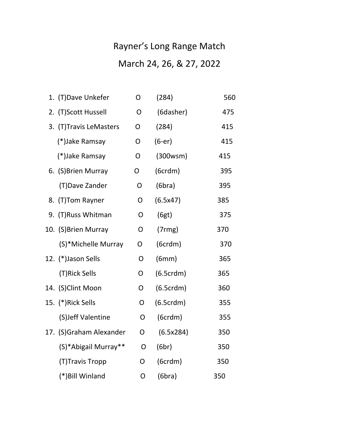## Rayner's Long Range Match March 24, 26, & 27, 2022

| 1. (T) Dave Unkefer     | O              | (284)     | 560 |
|-------------------------|----------------|-----------|-----|
| 2. (T)Scott Hussell     | O              | (6dasher) | 475 |
| 3. (T)Travis LeMasters  | O              | (284)     | 415 |
| (*)Jake Ramsay          | O              | $(6-er)$  | 415 |
| (*)Jake Ramsay          | O              | (300wsm)  | 415 |
| 6. (S) Brien Murray     | O              | (6crdm)   | 395 |
| (T) Dave Zander         | O              | (6bra)    | 395 |
| (T)Tom Rayner<br>8.     | O              | (6.5x47)  | 385 |
| 9. (T)Russ Whitman      | $\mathsf{O}$   | (6gt)     | 375 |
| 10. (S) Brien Murray    | $\overline{O}$ | (7rmg)    | 370 |
| (S)*Michelle Murray     | O              | (6crdm)   | 370 |
| 12. (*)Jason Sells      | O              | (6mm)     | 365 |
| (T)Rick Sells           | O              | (6.5crdm) | 365 |
| 14. (S)Clint Moon       | O              | (6.5crdm) | 360 |
| 15. (*)Rick Sells       | O              | (6.5crdm) | 355 |
| (S)Jeff Valentine       | O              | (6crdm)   | 355 |
| 17. (S)Graham Alexander | O              | (6.5x284) | 350 |
| (S)*Abigail Murray**    | O              | (6br)     | 350 |
| (T)Travis Tropp         | O              | (6crdm)   | 350 |
| (*) Bill Winland        | O              | (6bra)    | 350 |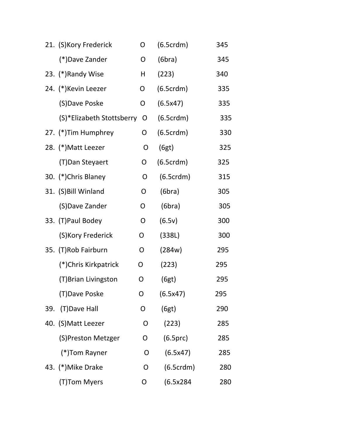| 21. (S)Kory Frederick     | O | (6.5crdm) | 345 |
|---------------------------|---|-----------|-----|
| (*)Dave Zander            | O | (6bra)    | 345 |
| 23. (*) Randy Wise        | Н | (223)     | 340 |
| 24. (*) Kevin Leezer      | O | (6.5crdm) | 335 |
| (S)Dave Poske             | O | (6.5x47)  | 335 |
| (S)*Elizabeth Stottsberry | O | (6.5crdm) | 335 |
| 27. (*) Tim Humphrey      | O | (6.5crdm) | 330 |
| 28. (*) Matt Leezer       | O | (6gt)     | 325 |
| (T) Dan Steyaert          | O | (6.5crdm) | 325 |
| 30. (*)Chris Blaney       | O | (6.5crdm) | 315 |
| 31. (S) Bill Winland      | O | (6bra)    | 305 |
| (S)Dave Zander            | O | (6bra)    | 305 |
| 33. (T) Paul Bodey        | O | (6.5v)    | 300 |
| (S) Kory Frederick        | O | (338L)    | 300 |
| 35. (T)Rob Fairburn       | O | (284w)    | 295 |
| (*)Chris Kirkpatrick      | O | (223)     | 295 |
| (T)Brian Livingston       | O | (6gt)     | 295 |
| (T)Dave Poske             | O | (6.5x47)  | 295 |
| (T) Dave Hall<br>39.      | O | (6gt)     | 290 |
| 40. (S) Matt Leezer       | O | (223)     | 285 |
| (S)Preston Metzger        | O | (6.5prc)  | 285 |
| (*)Tom Rayner             | O | (6.5x47)  | 285 |
| 43. (*) Mike Drake        | O | (6.5crdm) | 280 |
| (T)Tom Myers              | O | (6.5x284) | 280 |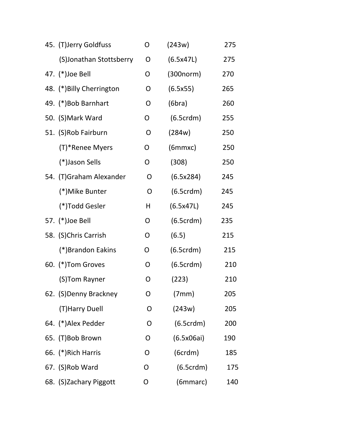| 45. (T)Jerry Goldfuss     | O            | (243w)     | 275 |
|---------------------------|--------------|------------|-----|
| (S)Jonathan Stottsberry   | O            | (6.5x47L)  | 275 |
| 47. (*) Joe Bell          | O            | (300norm)  | 270 |
| 48. (*) Billy Cherrington | O            | (6.5x55)   | 265 |
| 49. (*)Bob Barnhart       | O            | (6bra)     | 260 |
| 50. (S) Mark Ward         | O            | (6.5crdm)  | 255 |
| 51. (S)Rob Fairburn       | O            | (284w)     | 250 |
| (T)*Renee Myers           | O            | (6mmxc)    | 250 |
| (*)Jason Sells            | O            | (308)      | 250 |
| 54. (T)Graham Alexander   | O            | (6.5x284)  | 245 |
| (*)Mike Bunter            | $\mathsf{O}$ | (6.5crdm)  | 245 |
| (*)Todd Gesler            | H            | (6.5x47L)  | 245 |
| 57. (*)Joe Bell           | O            | (6.5crdm)  | 235 |
| 58. (S)Chris Carrish      | O            | (6.5)      | 215 |
| (*)Brandon Eakins         | O            | (6.5crdm)  | 215 |
| 60. (*)Tom Groves         | O            | (6.5crdm)  | 210 |
| (S)Tom Rayner             | O            | (223)      | 210 |
| 62. (S)Denny Brackney     | 0            | (7mm)      | 205 |
| (T) Harry Duell           | O            | (243w)     | 205 |
| 64. (*)Alex Pedder        | O            | (6.5crdm)  | 200 |
| 65. (T)Bob Brown          | O            | (6.5x06ai) | 190 |
| 66. (*) Rich Harris       | O            | (6crdm)    | 185 |
| 67. (S)Rob Ward           | O            | (6.5crdm)  | 175 |
| 68. (S)Zachary Piggott    | O            | (6mmarc)   | 140 |